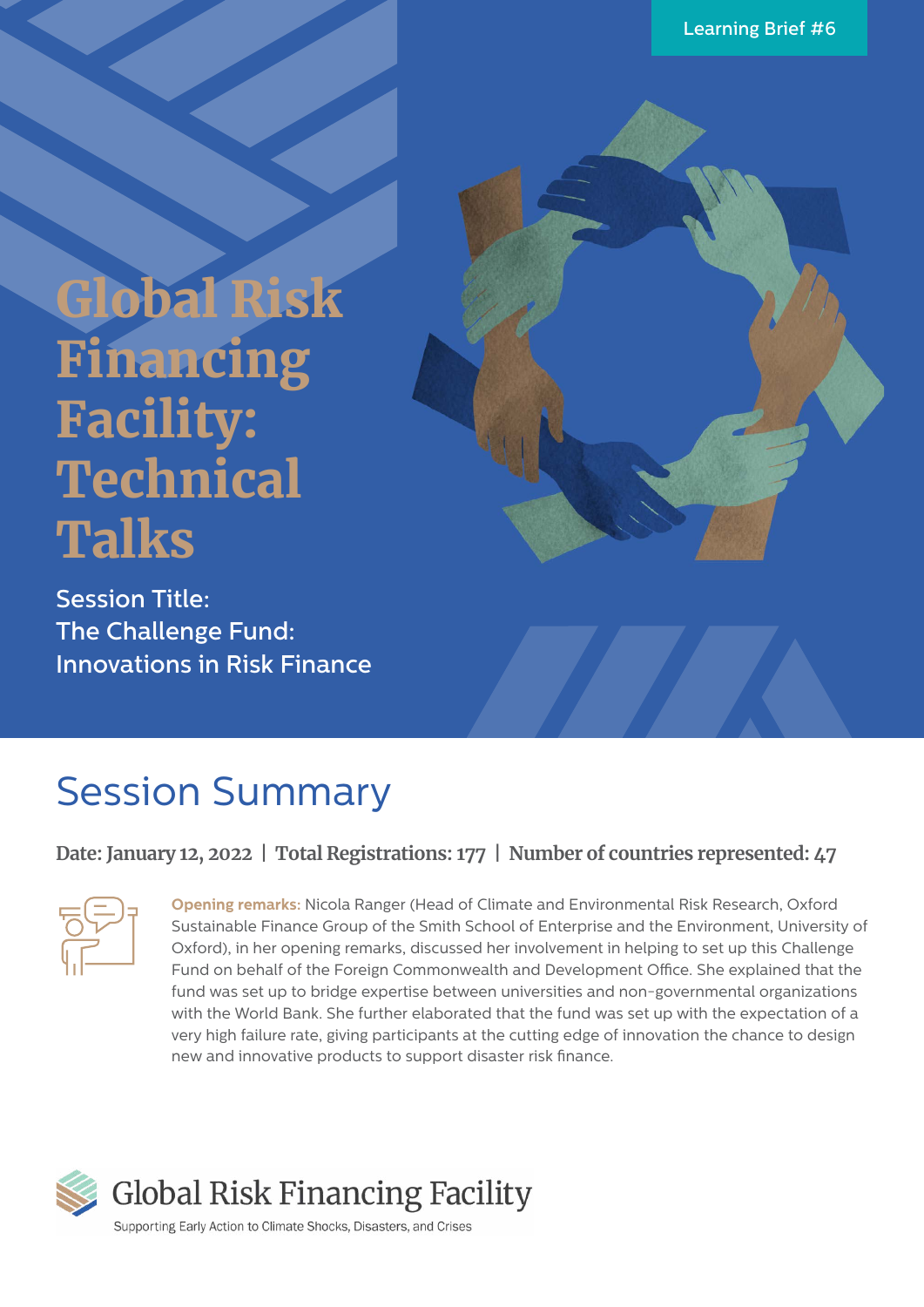# Global Risk Financing Facility: **Technical** Talks

Session Title: The Challenge Fund: Innovations in Risk Finance

### Session Summary

#### **Date: January 12, 2022 | Total Registrations: 177 | Number of countries represented: 47**



**Opening remarks:** Nicola Ranger (Head of Climate and Environmental Risk Research, Oxford Sustainable Finance Group of the Smith School of Enterprise and the Environment, University of Oxford), in her opening remarks, discussed her involvement in helping to set up this Challenge Fund on behalf of the Foreign Commonwealth and Development Office. She explained that the fund was set up to bridge expertise between universities and non-governmental organizations with the World Bank. She further elaborated that the fund was set up with the expectation of a very high failure rate, giving participants at the cutting edge of innovation the chance to design new and innovative products to support disaster risk finance.



Supporting Early Action to Climate Shocks, Disasters, and Crises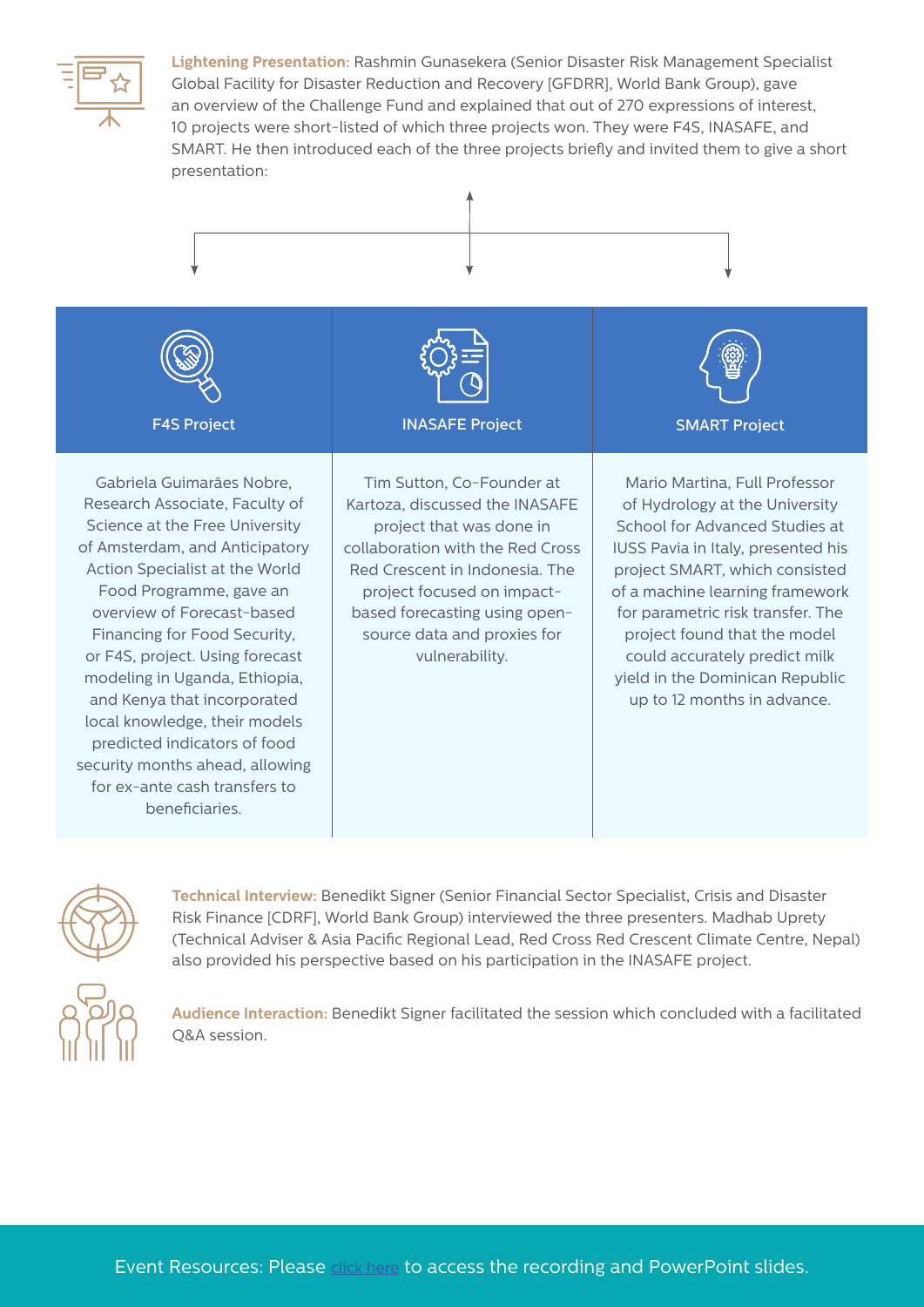

**Lightening Presentation:** Rashmin Gunasekera (Senior Disaster Risk Management Specialist Global Facility for Disaster Reduction and Recovery [GFDRR], World Bank Group), gave an overview of the Challenge Fund and explained that out of 270 expressions of interest, 10 projects were short-listed of which three projects won. They were F4S, INASAFE, and SMART. He then introduced each of the three projects briefly and invited them to give a short presentation:







**Technical Interview:** Benedikt Signer (Senior Financial Sector Specialist, Crisis and Disaster Risk Finance [CDRF], World Bank Group) interviewed the three presenters. Madhab Uprety (Technical Adviser & Asia Pacific Regional Lead, Red Cross Red Crescent Climate Centre, Nepal) also provided his perspective based on his participation in the INASAFE project.



**Audience Interaction:** Benedikt Signer facilitated the session which concluded with a facilitated Q&A session.